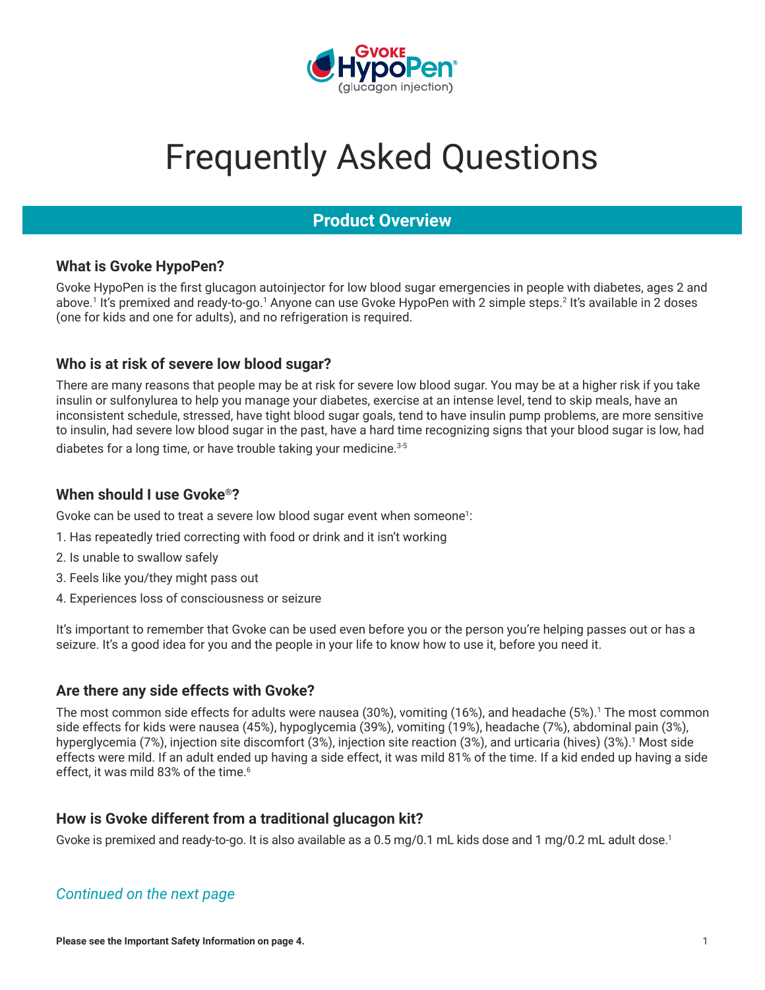

# Frequently Asked Questions

# **Product Overview**

## **What is Gvoke HypoPen?**

Gvoke HypoPen is the first glucagon autoinjector for low blood sugar emergencies in people with diabetes, ages 2 and above.1 It's premixed and ready-to-go.1 Anyone can use Gvoke HypoPen with 2 simple steps.<sup>2</sup> It's available in 2 doses (one for kids and one for adults), and no refrigeration is required.

## **Who is at risk of severe low blood sugar?**

There are many reasons that people may be at risk for severe low blood sugar. You may be at a higher risk if you take insulin or sulfonylurea to help you manage your diabetes, exercise at an intense level, tend to skip meals, have an inconsistent schedule, stressed, have tight blood sugar goals, tend to have insulin pump problems, are more sensitive to insulin, had severe low blood sugar in the past, have a hard time recognizing signs that your blood sugar is low, had diabetes for a long time, or have trouble taking your medicine.<sup>3-5</sup>

#### **When should I use Gvoke®?**

Gvoke can be used to treat a severe low blood sugar event when someone<sup>1</sup>:

- 1. Has repeatedly tried correcting with food or drink and it isn't working
- 2. Is unable to swallow safely
- 3. Feels like you/they might pass out
- 4. Experiences loss of consciousness or seizure

It's important to remember that Gvoke can be used even before you or the person you're helping passes out or has a seizure. It's a good idea for you and the people in your life to know how to use it, before you need it.

#### **Are there any side effects with Gvoke?**

The most common side effects for adults were nausea (30%), vomiting (16%), and headache (5%).<sup>1</sup> The most common side effects for kids were nausea (45%), hypoglycemia (39%), vomiting (19%), headache (7%), abdominal pain (3%), hyperglycemia (7%), injection site discomfort (3%), injection site reaction (3%), and urticaria (hives) (3%).<sup>1</sup> Most side effects were mild. If an adult ended up having a side effect, it was mild 81% of the time. If a kid ended up having a side effect, it was mild 83% of the time.<sup>6</sup>

## **How is Gvoke different from a traditional glucagon kit?**

Gvoke is premixed and ready-to-go. It is also available as a 0.5 mg/0.1 mL kids dose and 1 mg/0.2 mL adult dose.<sup>1</sup>

## *Continued on the next page*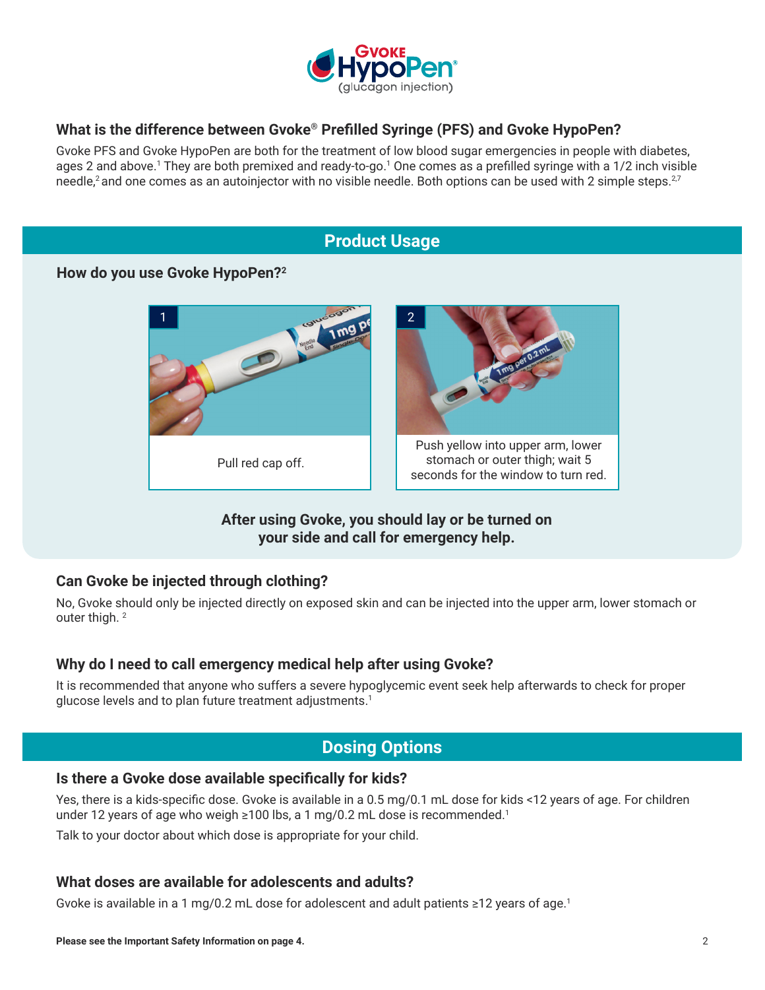

## **What is the difference between Gvoke® Prefilled Syringe (PFS) and Gvoke HypoPen?**

Gvoke PFS and Gvoke HypoPen are both for the treatment of low blood sugar emergencies in people with diabetes, ages 2 and above.<sup>1</sup> They are both premixed and ready-to-go.<sup>1</sup> One comes as a prefilled syringe with a 1/2 inch visible needle,<sup>2</sup> and one comes as an autoinjector with no visible needle. Both options can be used with 2 simple steps.<sup>2,7</sup>

# **Product Usage**

#### **How do you use Gvoke HypoPen?2**



## **After using Gvoke, you should lay or be turned on your side and call for emergency help.**

#### **Can Gvoke be injected through clothing?**

No, Gvoke should only be injected directly on exposed skin and can be injected into the upper arm, lower stomach or outer thigh.<sup>2</sup>

#### **Why do I need to call emergency medical help after using Gvoke?**

It is recommended that anyone who suffers a severe hypoglycemic event seek help afterwards to check for proper glucose levels and to plan future treatment adjustments.<sup>1</sup>

# **Dosing Options**

#### **Is there a Gvoke dose available specifically for kids?**

Yes, there is a kids-specific dose. Gvoke is available in a 0.5 mg/0.1 mL dose for kids <12 years of age. For children under 12 years of age who weigh  $\geq 100$  lbs, a 1 mg/0.2 mL dose is recommended.<sup>1</sup>

Talk to your doctor about which dose is appropriate for your child.

#### **What doses are available for adolescents and adults?**

Gvoke is available in a 1 mg/0.2 mL dose for adolescent and adult patients ≥12 years of age.<sup>1</sup>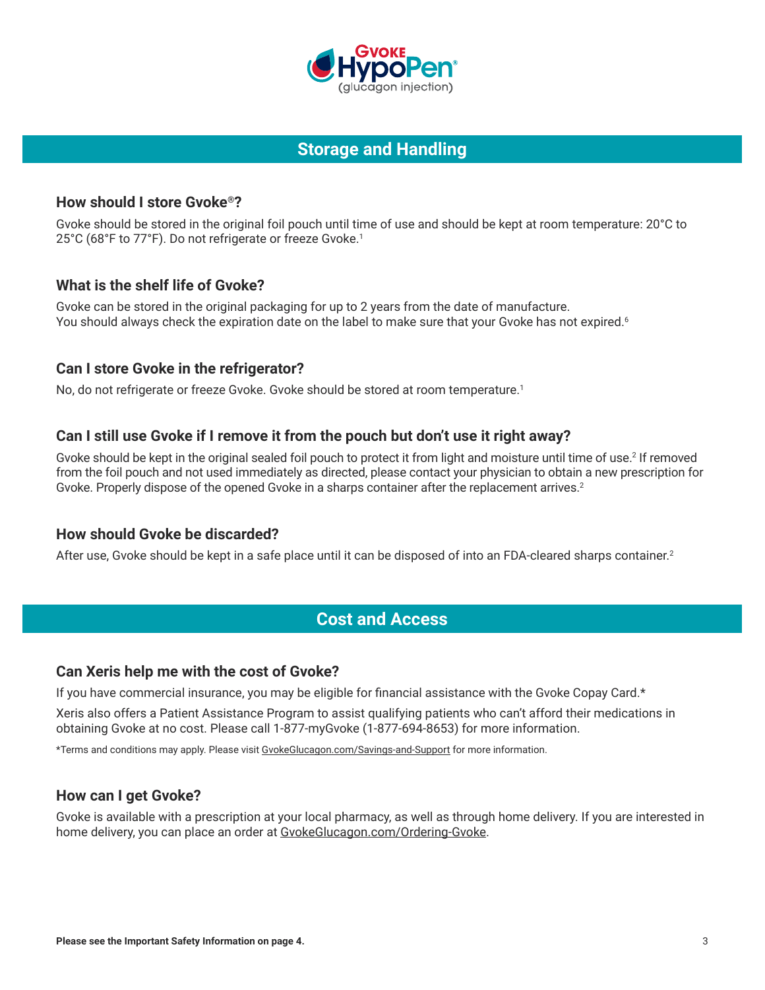

# **Storage and Handling**

## **How should I store Gvoke®?**

Gvoke should be stored in the original foil pouch until time of use and should be kept at room temperature: 20°C to 25°C (68°F to 77°F). Do not refrigerate or freeze Gvoke.<sup>1</sup>

## **What is the shelf life of Gvoke?**

Gvoke can be stored in the original packaging for up to 2 years from the date of manufacture. You should always check the expiration date on the label to make sure that your Gvoke has not expired.<sup>6</sup>

#### **Can I store Gvoke in the refrigerator?**

No, do not refrigerate or freeze Gvoke. Gvoke should be stored at room temperature.<sup>1</sup>

## **Can I still use Gvoke if I remove it from the pouch but don't use it right away?**

Gvoke should be kept in the original sealed foil pouch to protect it from light and moisture until time of use.<sup>2</sup> If removed from the foil pouch and not used immediately as directed, please contact your physician to obtain a new prescription for Gvoke. Properly dispose of the opened Gvoke in a sharps container after the replacement arrives.<sup>2</sup>

#### **How should Gvoke be discarded?**

After use, Gvoke should be kept in a safe place until it can be disposed of into an FDA-cleared sharps container.<sup>2</sup>

## **Cost and Access**

#### **Can Xeris help me with the cost of Gvoke?**

If you have commercial insurance, you may be eligible for financial assistance with the Gvoke Copay Card.\*

Xeris also offers a Patient Assistance Program to assist qualifying patients who can't afford their medications in obtaining Gvoke at no cost. Please call 1-877-myGvoke (1-877-694-8653) for more information.

\*Terms and conditions may apply. Please visit [GvokeGlucagon.com/Savings-and-Support](https://www.gvokeglucagon.com/savings-and-support) for more information.

#### **How can I get Gvoke?**

Gvoke is available with a prescription at your local pharmacy, as well as through home delivery. If you are interested in home delivery, you can place an order at [GvokeGlucagon.com/Ordering-Gvoke](https://www.gvokeglucagon.com/ordering-gvoke).